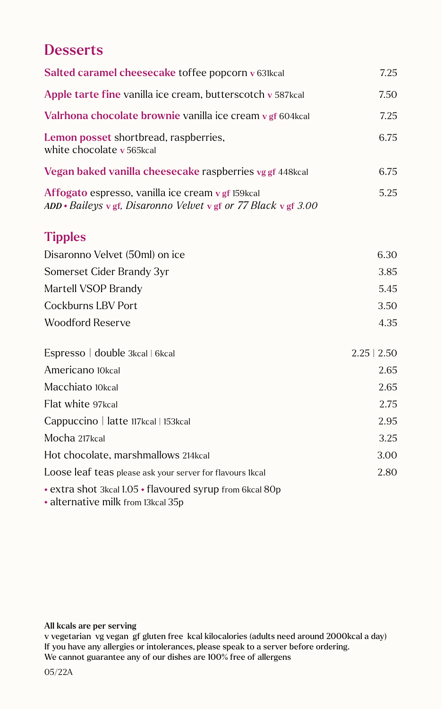## **Desserts**

| Salted caramel cheesecake toffee popcorn v 631kcal                                                                         | 7.25             |
|----------------------------------------------------------------------------------------------------------------------------|------------------|
| Apple tarte fine vanilla ice cream, butterscotch v 587kcal                                                                 | 7.50             |
| Valrhona chocolate brownie vanilla ice cream v gf 604 kcal                                                                 | 7.25             |
| Lemon posset shortbread, raspberries,<br>white chocolate v 565kcal                                                         | 6.75             |
| Vegan baked vanilla cheesecake raspberries vg gf 448kcal                                                                   | 6.75             |
| Affogato espresso, vanilla ice cream v gf 159kcal<br>$ADD * Baileys \vee gf$ , Disaronno Velvet v gf or 77 Black v gf 3.00 | 5.25             |
| <b>Tipples</b>                                                                                                             |                  |
| Disaronno Velvet (50ml) on ice                                                                                             | 6.30             |
| Somerset Cider Brandy 3yr                                                                                                  | 3.85             |
| Martell VSOP Brandy                                                                                                        | 5.45             |
| <b>Cockburns LBV Port</b>                                                                                                  | 3.50             |
| <b>Woodford Reserve</b>                                                                                                    | 4.35             |
| Espresso   double 3kcal   6kcal                                                                                            | $2.25 \mid 2.50$ |
| Americano 10kcal                                                                                                           | 2.65             |
| Macchiato 10kcal                                                                                                           | 2.65             |
| Flat white 97kcal                                                                                                          | 2.75             |
| Cappuccino   latte 117kcal   153kcal                                                                                       | 2.95             |
| Mocha 217kcal                                                                                                              | 3.25             |
| Hot chocolate, marshmallows 214kcal                                                                                        | 3.00             |
| Loose leaf teas please ask your server for flavours 1kcal                                                                  | 2.80             |
| • extra shot 3kcal 1.05 • flavoured syrup from 6kcal 80p<br>• alternative milk from 13kcal 35p                             |                  |

## All kcals are per serving

v vegetarian vg vegan gf gluten free kcal kilocalories (adults need around 2000kcal a day) If you have any allergies or intolerances, please speak to a server before ordering. We cannot guarantee any of our dishes are 100% free of allergens